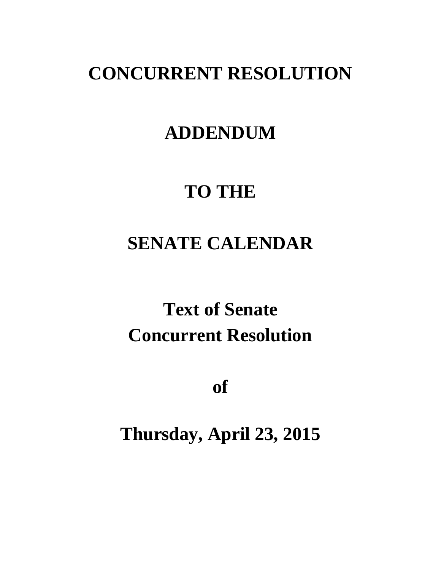## **CONCURRENT RESOLUTION**

### **ADDENDUM**

## **TO THE**

## **SENATE CALENDAR**

# **Text of Senate Concurrent Resolution**

**of**

**Thursday, April 23, 2015**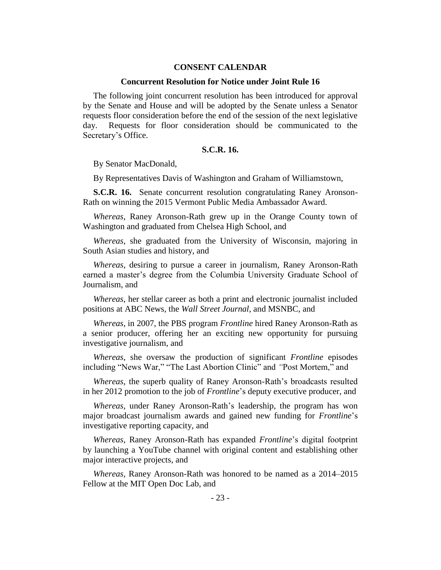### **CONSENT CALENDAR**

#### **Concurrent Resolution for Notice under Joint Rule 16**

The following joint concurrent resolution has been introduced for approval by the Senate and House and will be adopted by the Senate unless a Senator requests floor consideration before the end of the session of the next legislative day. Requests for floor consideration should be communicated to the Secretary's Office.

### **S.C.R. 16.**

By Senator MacDonald,

By Representatives Davis of Washington and Graham of Williamstown,

**S.C.R. 16.** Senate concurrent resolution congratulating Raney Aronson-Rath on winning the 2015 Vermont Public Media Ambassador Award.

*Whereas*, Raney Aronson-Rath grew up in the Orange County town of Washington and graduated from Chelsea High School, and

*Whereas*, she graduated from the University of Wisconsin, majoring in South Asian studies and history, and

*Whereas*, desiring to pursue a career in journalism, Raney Aronson-Rath earned a master's degree from the Columbia University Graduate School of Journalism, and

*Whereas*, her stellar career as both a print and electronic journalist included positions at ABC News, the *Wall Street Journal*, and MSNBC, and

*Whereas*, in 2007, the PBS program *Frontline* hired Raney Aronson-Rath as a senior producer, offering her an exciting new opportunity for pursuing investigative journalism, and

*Whereas*, she oversaw the production of significant *Frontline* episodes including "News War," "The Last Abortion Clinic" and *"*Post Mortem," and

*Whereas*, the superb quality of Raney Aronson-Rath's broadcasts resulted in her 2012 promotion to the job of *Frontline*'s deputy executive producer, and

*Whereas*, under Raney Aronson-Rath's leadership, the program has won major broadcast journalism awards and gained new funding for *Frontline*'s investigative reporting capacity, and

*Whereas*, Raney Aronson-Rath has expanded *Frontline*'s digital footprint by launching a YouTube channel with original content and establishing other major interactive projects, and

*Whereas,* Raney Aronson-Rath was honored to be named as a 2014–2015 Fellow at the MIT Open Doc Lab, and